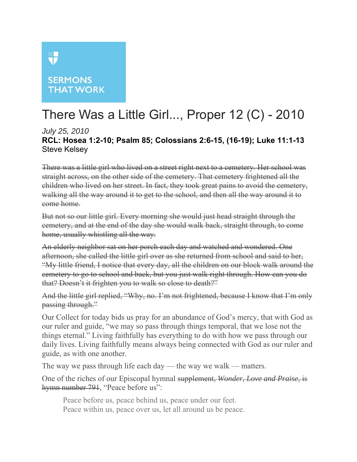## XII

## **SERMONS THAT WORK**

## There Was a Little Girl..., Proper 12 (C) - 2010

*July 25, 2010* **RCL: Hosea 1:2-10; Psalm 85; Colossians 2:6-15, (16-19); Luke 11:1-13**  Steve Kelsey

There was a little girl who lived on a street right next to a cemetery. Her school was straight across, on the other side of the cemetery. That cemetery frightened all the children who lived on her street. In fact, they took great pains to avoid the cemetery, walking all the way around it to get to the school, and then all the way around it to come home.

But not so our little girl. Every morning she would just head straight through the cemetery, and at the end of the day she would walk back, straight through, to come home, usually whistling all the way.

An elderly neighbor sat on her porch each day and watched and wondered. One afternoon, she called the little girl over as she returned from school and said to her, "My little friend, I notice that every day, all the children on our block walk around the cemetery to go to school and back, but you just walk right through. How can you do that? Doesn't it frighten you to walk so close to death?"

And the little girl replied, "Why, no. I'm not frightened, because I know that I'm only passing through."

Our Collect for today bids us pray for an abundance of God's mercy, that with God as our ruler and guide, "we may so pass through things temporal, that we lose not the things eternal." Living faithfully has everything to do with how we pass through our daily lives. Living faithfully means always being connected with God as our ruler and guide, as with one another.

The way we pass through life each day — the way we walk — matters.

One of the riches of our Episcopal hymnal supplement, *Wonder, Love and Praise*, is hymn number 791, "Peace before us":

Peace before us, peace behind us, peace under our feet. Peace within us, peace over us, let all around us be peace.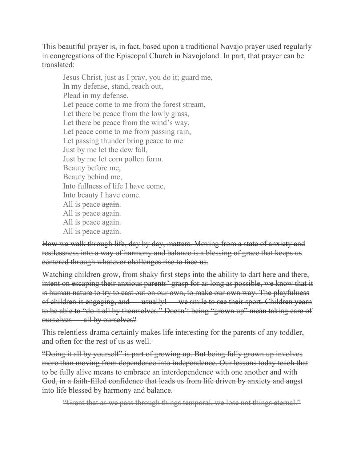This beautiful prayer is, in fact, based upon a traditional Navajo prayer used regularly in congregations of the Episcopal Church in Navojoland. In part, that prayer can be translated:

Jesus Christ, just as I pray, you do it; guard me, In my defense, stand, reach out, Plead in my defense. Let peace come to me from the forest stream, Let there be peace from the lowly grass, Let there be peace from the wind's way, Let peace come to me from passing rain, Let passing thunder bring peace to me. Just by me let the dew fall, Just by me let corn pollen form. Beauty before me, Beauty behind me, Into fullness of life I have come, Into beauty I have come. All is peace again. All is peace again. All is peace again. All is peace again.

How we walk through life, day by day, matters. Moving from a state of anxiety and restlessness into a way of harmony and balance is a blessing of grace that keeps us centered through whatever challenges rise to face us.

Watching children grow, from shaky first steps into the ability to dart here and there, intent on escaping their anxious parents' grasp for as long as possible, we know that it is human nature to try to cast out on our own, to make our own way. The playfulness of children is engaging, and — usually! — we smile to see their sport. Children yearn to be able to "do it all by themselves." Doesn't being "grown up" mean taking care of ourselves — all by ourselves?

This relentless drama certainly makes life interesting for the parents of any toddler, and often for the rest of us as well.

"Doing it all by yourself" is part of growing up. But being fully grown up involves more than moving from dependence into independence. Our lessons today teach that to be fully alive means to embrace an interdependence with one another and with God, in a faith-filled confidence that leads us from life driven by anxiety and angst into life blessed by harmony and balance.

"Grant that as we pass through things temporal, we lose not things eternal."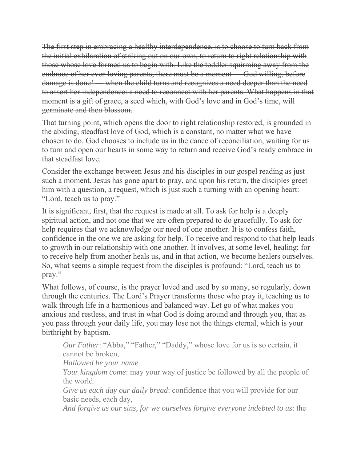The first step in embracing a healthy interdependence, is to choose to turn back from the initial exhilaration of striking out on our own, to return to right relationship with those whose love formed us to begin with. Like the toddler squirming away from the embrace of her ever-loving parents, there must be a moment — God willing, before damage is done! — when the child turns and recognizes a need deeper than the need to assert her independence: a need to reconnect with her parents. What happens in that moment is a gift of grace, a seed which, with God's love and in God's time, will germinate and then blossom.

That turning point, which opens the door to right relationship restored, is grounded in the abiding, steadfast love of God, which is a constant, no matter what we have chosen to do. God chooses to include us in the dance of reconciliation, waiting for us to turn and open our hearts in some way to return and receive God's ready embrace in that steadfast love.

Consider the exchange between Jesus and his disciples in our gospel reading as just such a moment. Jesus has gone apart to pray, and upon his return, the disciples greet him with a question, a request, which is just such a turning with an opening heart: "Lord, teach us to pray."

It is significant, first, that the request is made at all. To ask for help is a deeply spiritual action, and not one that we are often prepared to do gracefully. To ask for help requires that we acknowledge our need of one another. It is to confess faith, confidence in the one we are asking for help. To receive and respond to that help leads to growth in our relationship with one another. It involves, at some level, healing; for to receive help from another heals us, and in that action, we become healers ourselves. So, what seems a simple request from the disciples is profound: "Lord, teach us to pray."

What follows, of course, is the prayer loved and used by so many, so regularly, down through the centuries. The Lord's Prayer transforms those who pray it, teaching us to walk through life in a harmonious and balanced way. Let go of what makes you anxious and restless, and trust in what God is doing around and through you, that as you pass through your daily life, you may lose not the things eternal, which is your birthright by baptism.

*Our Father*: "Abba," "Father," "Daddy," whose love for us is so certain, it cannot be broken,

*Hallowed be your name*.

*Your kingdom come*: may your way of justice be followed by all the people of the world.

*Give us each day our daily bread*: confidence that you will provide for our basic needs, each day,

*And forgive us our sins, for we ourselves forgive everyone indebted to us*: the